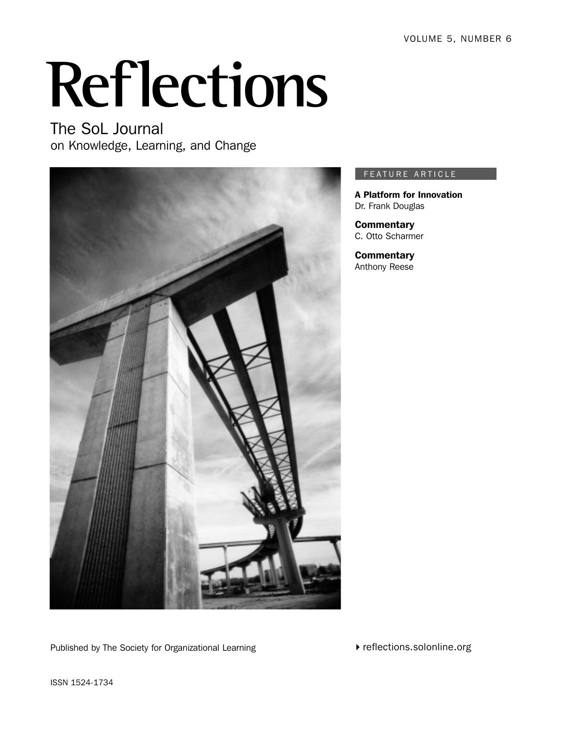VOLUME 5, NUMBER 6

# **Reflections**

The SoL Journal on Knowledge, Learning, and Change



#### FEATURE ARTICLE

A Platform for Innovation Dr. Frank Douglas

**Commentary** C. Otto Scharmer

**Commentary** Anthony Reese

Published by The Society for Organizational Learning

 $\blacktriangleright$  reflections.solonline.org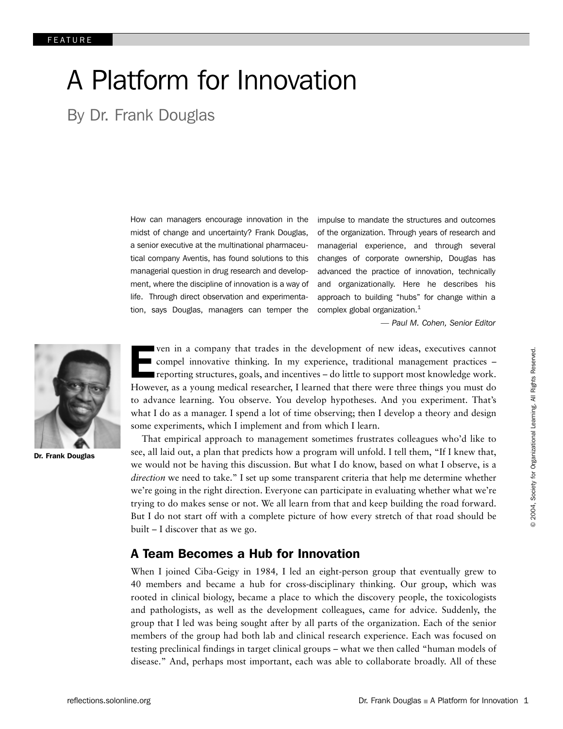# A Platform for Innovation

By Dr. Frank Douglas

How can managers encourage innovation in the midst of change and uncertainty? Frank Douglas, a senior executive at the multinational pharmaceutical company Aventis, has found solutions to this managerial question in drug research and development, where the discipline of innovation is a way of life. Through direct observation and experimentation, says Douglas, managers can temper the

impulse to mandate the structures and outcomes of the organization. Through years of research and managerial experience, and through several changes of corporate ownership, Douglas has advanced the practice of innovation, technically and organizationally. Here he describes his approach to building "hubs" for change within a complex global organization.<sup>1</sup>

*— Paul M. Cohen, Senior Editor*



Dr. Frank Douglas

For ven in a company that trades in the development of new ideas, executives cannot<br>compel innovative thinking. In my experience, traditional management practices –<br>reporting structures, goals, and incentives – do little t ven in a company that trades in the development of new ideas, executives cannot compel innovative thinking. In my experience, traditional management practices – reporting structures, goals, and incentives – do little to support most knowledge work. to advance learning. You observe. You develop hypotheses. And you experiment. That's what I do as a manager. I spend a lot of time observing; then I develop a theory and design some experiments, which I implement and from which I learn.

That empirical approach to management sometimes frustrates colleagues who'd like to see, all laid out, a plan that predicts how a program will unfold. I tell them, "If I knew that, we would not be having this discussion. But what I do know, based on what I observe, is a *direction* we need to take." I set up some transparent criteria that help me determine whether we're going in the right direction. Everyone can participate in evaluating whether what we're trying to do makes sense or not. We all learn from that and keep building the road forward. But I do not start off with a complete picture of how every stretch of that road should be built – I discover that as we go.

#### A Team Becomes a Hub for Innovation

When I joined Ciba-Geigy in 1984*,* I led an eight-person group that eventually grew to 40 members and became a hub for cross-disciplinary thinking. Our group, which was rooted in clinical biology, became a place to which the discovery people, the toxicologists and pathologists, as well as the development colleagues, came for advice. Suddenly, the group that I led was being sought after by all parts of the organization. Each of the senior members of the group had both lab and clinical research experience. Each was focused on testing preclinical findings in target clinical groups – what we then called "human models of disease." And, perhaps most important, each was able to collaborate broadly. All of these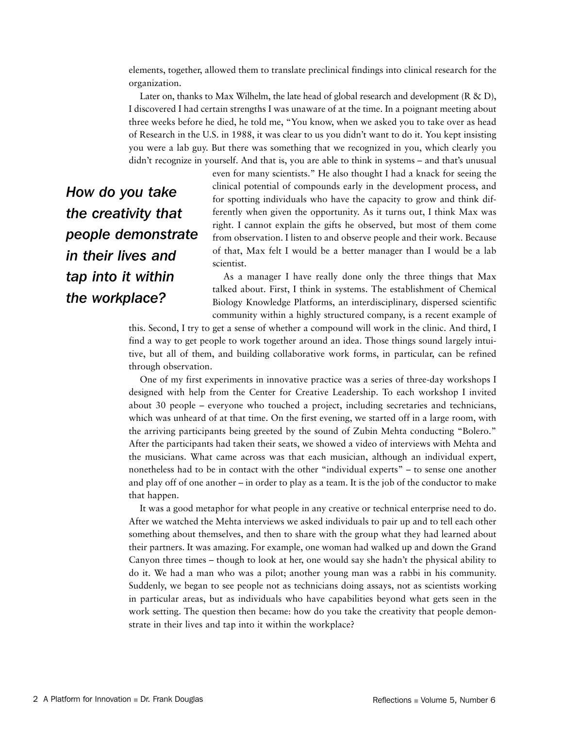elements, together, allowed them to translate preclinical findings into clinical research for the organization.

Later on, thanks to Max Wilhelm, the late head of global research and development ( $R \& D$ ), I discovered I had certain strengths I was unaware of at the time. In a poignant meeting about three weeks before he died, he told me, "You know, when we asked you to take over as head of Research in the U.S. in 1988, it was clear to us you didn't want to do it. You kept insisting you were a lab guy. But there was something that we recognized in you, which clearly you didn't recognize in yourself. And that is, you are able to think in systems – and that's unusual

*How do you take the creativity that people demonstrate in their lives and tap into it within the workplace?*

even for many scientists." He also thought I had a knack for seeing the clinical potential of compounds early in the development process, and for spotting individuals who have the capacity to grow and think differently when given the opportunity. As it turns out, I think Max was right. I cannot explain the gifts he observed, but most of them come from observation. I listen to and observe people and their work. Because of that, Max felt I would be a better manager than I would be a lab scientist.

As a manager I have really done only the three things that Max talked about. First, I think in systems. The establishment of Chemical Biology Knowledge Platforms, an interdisciplinary, dispersed scientific community within a highly structured company, is a recent example of

this. Second, I try to get a sense of whether a compound will work in the clinic. And third, I find a way to get people to work together around an idea. Those things sound largely intuitive, but all of them, and building collaborative work forms, in particular, can be refined through observation.

One of my first experiments in innovative practice was a series of three-day workshops I designed with help from the Center for Creative Leadership. To each workshop I invited about 30 people – everyone who touched a project, including secretaries and technicians, which was unheard of at that time. On the first evening, we started off in a large room, with the arriving participants being greeted by the sound of Zubin Mehta conducting "Bolero." After the participants had taken their seats, we showed a video of interviews with Mehta and the musicians. What came across was that each musician, although an individual expert, nonetheless had to be in contact with the other "individual experts" – to sense one another and play off of one another – in order to play as a team. It is the job of the conductor to make that happen.

It was a good metaphor for what people in any creative or technical enterprise need to do. After we watched the Mehta interviews we asked individuals to pair up and to tell each other something about themselves, and then to share with the group what they had learned about their partners. It was amazing. For example, one woman had walked up and down the Grand Canyon three times – though to look at her, one would say she hadn't the physical ability to do it. We had a man who was a pilot; another young man was a rabbi in his community. Suddenly, we began to see people not as technicians doing assays, not as scientists working in particular areas, but as individuals who have capabilities beyond what gets seen in the work setting. The question then became: how do you take the creativity that people demonstrate in their lives and tap into it within the workplace?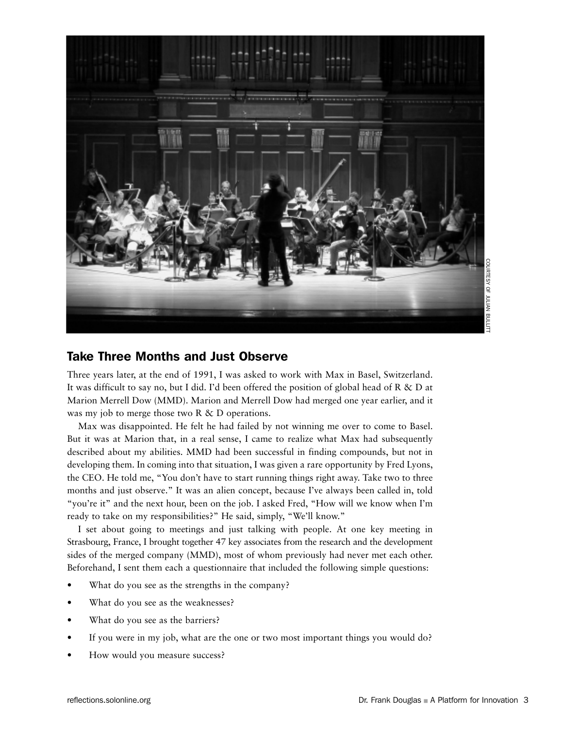

#### Take Three Months and Just Observe

Three years later, at the end of 1991, I was asked to work with Max in Basel, Switzerland. It was difficult to say no, but I did. I'd been offered the position of global head of R & D at Marion Merrell Dow (MMD). Marion and Merrell Dow had merged one year earlier, and it was my job to merge those two R & D operations.

Max was disappointed. He felt he had failed by not winning me over to come to Basel. But it was at Marion that, in a real sense, I came to realize what Max had subsequently described about my abilities. MMD had been successful in finding compounds, but not in developing them. In coming into that situation, I was given a rare opportunity by Fred Lyons, the CEO. He told me, "You don't have to start running things right away. Take two to three months and just observe." It was an alien concept, because I've always been called in, told "you're it" and the next hour, been on the job. I asked Fred, "How will we know when I'm ready to take on my responsibilities?" He said, simply, "We'll know."

I set about going to meetings and just talking with people. At one key meeting in Strasbourg, France, I brought together 47 key associates from the research and the development sides of the merged company (MMD), most of whom previously had never met each other. Beforehand, I sent them each a questionnaire that included the following simple questions:

- What do you see as the strengths in the company?
- What do you see as the weaknesses?
- What do you see as the barriers?
- If you were in my job, what are the one or two most important things you would do?
- How would you measure success?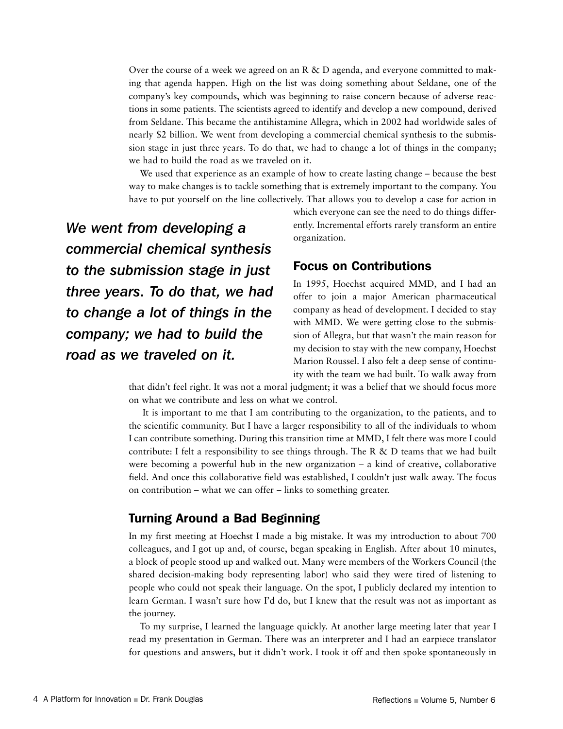Over the course of a week we agreed on an R  $\&$  D agenda, and everyone committed to making that agenda happen. High on the list was doing something about Seldane, one of the company's key compounds, which was beginning to raise concern because of adverse reactions in some patients. The scientists agreed to identify and develop a new compound, derived from Seldane. This became the antihistamine Allegra, which in 2002 had worldwide sales of nearly \$2 billion. We went from developing a commercial chemical synthesis to the submission stage in just three years. To do that, we had to change a lot of things in the company; we had to build the road as we traveled on it.

We used that experience as an example of how to create lasting change – because the best way to make changes is to tackle something that is extremely important to the company. You have to put yourself on the line collectively. That allows you to develop a case for action in

*We went from developing a commercial chemical synthesis to the submission stage in just three years. To do that, we had to change a lot of things in the company; we had to build the road as we traveled on it.*

which everyone can see the need to do things differently. Incremental efforts rarely transform an entire organization.

#### Focus on Contributions

In 1995, Hoechst acquired MMD, and I had an offer to join a major American pharmaceutical company as head of development. I decided to stay with MMD. We were getting close to the submission of Allegra, but that wasn't the main reason for my decision to stay with the new company, Hoechst Marion Roussel. I also felt a deep sense of continuity with the team we had built. To walk away from

that didn't feel right. It was not a moral judgment; it was a belief that we should focus more on what we contribute and less on what we control.

 It is important to me that I am contributing to the organization, to the patients, and to the scientific community. But I have a larger responsibility to all of the individuals to whom I can contribute something. During this transition time at MMD, I felt there was more I could contribute: I felt a responsibility to see things through. The R  $\&$  D teams that we had built were becoming a powerful hub in the new organization – a kind of creative, collaborative field. And once this collaborative field was established, I couldn't just walk away. The focus on contribution – what we can offer – links to something greater.

### Turning Around a Bad Beginning

In my first meeting at Hoechst I made a big mistake. It was my introduction to about 700 colleagues, and I got up and, of course, began speaking in English. After about 10 minutes, a block of people stood up and walked out. Many were members of the Workers Council (the shared decision-making body representing labor) who said they were tired of listening to people who could not speak their language. On the spot, I publicly declared my intention to learn German. I wasn't sure how I'd do, but I knew that the result was not as important as the journey.

To my surprise, I learned the language quickly. At another large meeting later that year I read my presentation in German. There was an interpreter and I had an earpiece translator for questions and answers, but it didn't work. I took it off and then spoke spontaneously in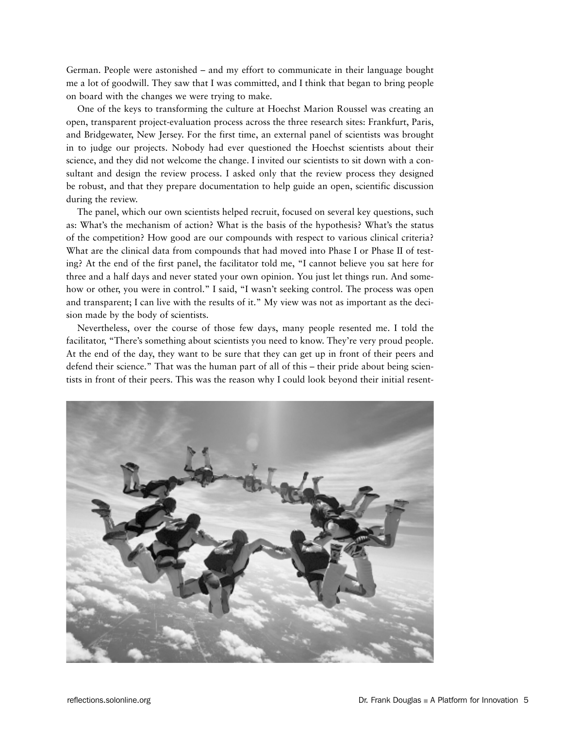German. People were astonished – and my effort to communicate in their language bought me a lot of goodwill. They saw that I was committed, and I think that began to bring people on board with the changes we were trying to make.

One of the keys to transforming the culture at Hoechst Marion Roussel was creating an open, transparent project-evaluation process across the three research sites: Frankfurt, Paris, and Bridgewater, New Jersey. For the first time, an external panel of scientists was brought in to judge our projects. Nobody had ever questioned the Hoechst scientists about their science, and they did not welcome the change. I invited our scientists to sit down with a consultant and design the review process. I asked only that the review process they designed be robust, and that they prepare documentation to help guide an open, scientific discussion during the review.

The panel, which our own scientists helped recruit, focused on several key questions, such as: What's the mechanism of action? What is the basis of the hypothesis? What's the status of the competition? How good are our compounds with respect to various clinical criteria? What are the clinical data from compounds that had moved into Phase I or Phase II of testing? At the end of the first panel, the facilitator told me, "I cannot believe you sat here for three and a half days and never stated your own opinion. You just let things run. And somehow or other, you were in control." I said, "I wasn't seeking control. The process was open and transparent; I can live with the results of it." My view was not as important as the decision made by the body of scientists.

Nevertheless, over the course of those few days, many people resented me. I told the facilitator, "There's something about scientists you need to know. They're very proud people. At the end of the day, they want to be sure that they can get up in front of their peers and defend their science." That was the human part of all of this – their pride about being scientists in front of their peers. This was the reason why I could look beyond their initial resent-

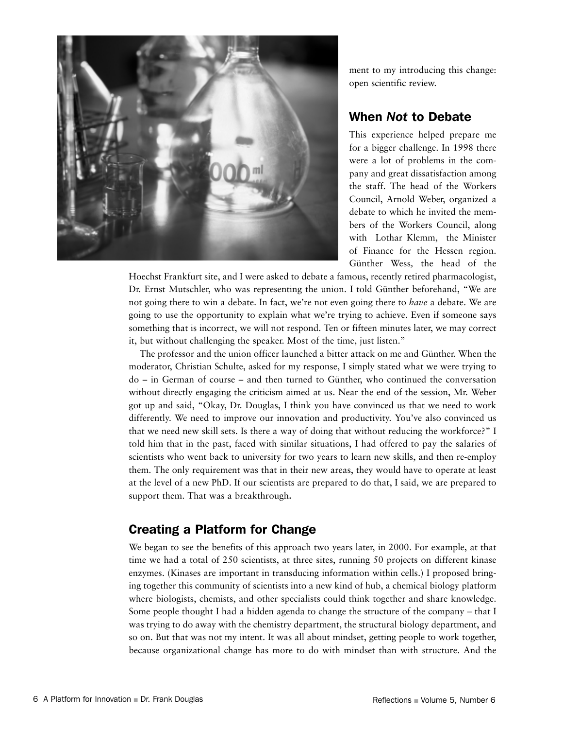

ment to my introducing this change: open scientific review.

## When *Not* to Debate

This experience helped prepare me for a bigger challenge. In 1998 there were a lot of problems in the company and great dissatisfaction among the staff. The head of the Workers Council, Arnold Weber, organized a debate to which he invited the members of the Workers Council, along with Lothar Klemm, the Minister of Finance for the Hessen region. Günther Wess*,* the head of the

Hoechst Frankfurt site, and I were asked to debate a famous, recently retired pharmacologist, Dr. Ernst Mutschler, who was representing the union. I told Günther beforehand, "We are not going there to win a debate. In fact, we're not even going there to *have* a debate. We are going to use the opportunity to explain what we're trying to achieve. Even if someone says something that is incorrect, we will not respond. Ten or fifteen minutes later, we may correct it, but without challenging the speaker. Most of the time, just listen."

The professor and the union officer launched a bitter attack on me and Günther. When the moderator, Christian Schulte, asked for my response, I simply stated what we were trying to do – in German of course – and then turned to Günther, who continued the conversation without directly engaging the criticism aimed at us. Near the end of the session, Mr. Weber got up and said, "Okay, Dr. Douglas, I think you have convinced us that we need to work differently. We need to improve our innovation and productivity. You've also convinced us that we need new skill sets. Is there a way of doing that without reducing the workforce?" I told him that in the past, faced with similar situations, I had offered to pay the salaries of scientists who went back to university for two years to learn new skills, and then re-employ them. The only requirement was that in their new areas, they would have to operate at least at the level of a new PhD. If our scientists are prepared to do that, I said, we are prepared to support them. That was a breakthrough**.**

# Creating a Platform for Change

We began to see the benefits of this approach two years later, in 2000. For example, at that time we had a total of 250 scientists, at three sites, running 50 projects on different kinase enzymes. (Kinases are important in transducing information within cells.) I proposed bringing together this community of scientists into a new kind of hub, a chemical biology platform where biologists, chemists, and other specialists could think together and share knowledge. Some people thought I had a hidden agenda to change the structure of the company – that I was trying to do away with the chemistry department, the structural biology department, and so on. But that was not my intent. It was all about mindset, getting people to work together, because organizational change has more to do with mindset than with structure. And the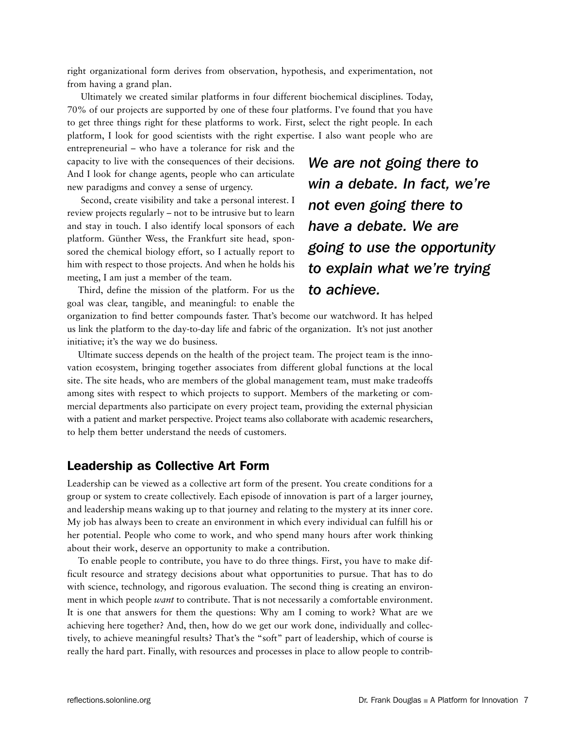right organizational form derives from observation, hypothesis, and experimentation, not from having a grand plan.

 Ultimately we created similar platforms in four different biochemical disciplines*.* Today, 70% of our projects are supported by one of these four platforms. I've found that you have to get three things right for these platforms to work. First, select the right people*.* In each platform, I look for good scientists with the right expertise. I also want people who are

entrepreneurial – who have a tolerance for risk and the capacity to live with the consequences of their decisions. And I look for change agents, people who can articulate new paradigms and convey a sense of urgency.

 Second, create visibility and take a personal interest. I review projects regularly – not to be intrusive but to learn and stay in touch. I also identify local sponsors of each platform. Günther Wess, the Frankfurt site head, sponsored the chemical biology effort, so I actually report to him with respect to those projects. And when he holds his meeting, I am just a member of the team.

Third, define the mission of the platform. For us the goal was clear, tangible, and meaningful: to enable the

# *We are not going there to win a debate. In fact, we're not even going there to have a debate. We are going to use the opportunity to explain what we're trying to achieve.*

organization to find better compounds faster. That's become our watchword. It has helped us link the platform to the day-to-day life and fabric of the organization. It's not just another initiative; it's the way we do business.

Ultimate success depends on the health of the project team. The project team is the innovation ecosystem, bringing together associates from different global functions at the local site. The site heads, who are members of the global management team, must make tradeoffs among sites with respect to which projects to support. Members of the marketing or commercial departments also participate on every project team, providing the external physician with a patient and market perspective. Project teams also collaborate with academic researchers, to help them better understand the needs of customers.

#### Leadership as Collective Art Form

Leadership can be viewed as a collective art form of the present. You create conditions for a group or system to create collectively. Each episode of innovation is part of a larger journey, and leadership means waking up to that journey and relating to the mystery at its inner core. My job has always been to create an environment in which every individual can fulfill his or her potential. People who come to work, and who spend many hours after work thinking about their work, deserve an opportunity to make a contribution.

To enable people to contribute, you have to do three things. First, you have to make difficult resource and strategy decisions about what opportunities to pursue. That has to do with science, technology, and rigorous evaluation. The second thing is creating an environment in which people *want* to contribute. That is not necessarily a comfortable environment. It is one that answers for them the questions: Why am I coming to work? What are we achieving here together? And, then, how do we get our work done, individually and collectively, to achieve meaningful results? That's the "soft" part of leadership, which of course is really the hard part. Finally, with resources and processes in place to allow people to contrib-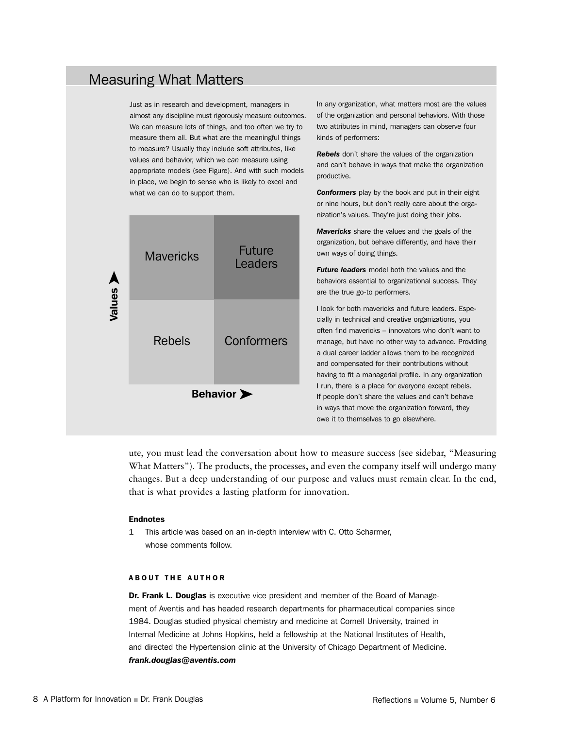# Measuring What Matters

Just as in research and development, managers in almost any discipline must rigorously measure outcomes. We can measure lots of things, and too often we try to measure them all. But what are the meaningful things to measure? Usually they include soft attributes, like values and behavior, which we *can* measure using appropriate models (see Figure). And with such models in place, we begin to sense who is likely to excel and what we can do to support them.



In any organization, what matters most are the values of the organization and personal behaviors. With those two attributes in mind, managers can observe four kinds of performers:

*Rebels* don't share the values of the organization and can't behave in ways that make the organization productive.

*Conformers* play by the book and put in their eight or nine hours, but don't really care about the organization's values. They're just doing their jobs.

*Mavericks* share the values and the goals of the organization, but behave differently, and have their own ways of doing things.

*Future leaders* model both the values and the behaviors essential to organizational success. They are the true go-to performers.

I look for both mavericks and future leaders. Especially in technical and creative organizations, you often find mavericks – innovators who don't want to manage, but have no other way to advance. Providing a dual career ladder allows them to be recognized and compensated for their contributions without having to fit a managerial profile. In any organization I run, there is a place for everyone except rebels. If people don't share the values and can't behave in ways that move the organization forward, they owe it to themselves to go elsewhere.

ute, you must lead the conversation about how to measure success (see sidebar, "Measuring What Matters"). The products, the processes, and even the company itself will undergo many changes. But a deep understanding of our purpose and values must remain clear. In the end, that is what provides a lasting platform for innovation.

#### Endnotes

1 This article was based on an in-depth interview with C. Otto Scharmer, whose comments follow.

#### ABOUT THE AUTHOR

Dr. Frank L. Douglas is executive vice president and member of the Board of Management of Aventis and has headed research departments for pharmaceutical companies since 1984. Douglas studied physical chemistry and medicine at Cornell University, trained in Internal Medicine at Johns Hopkins, held a fellowship at the National Institutes of Health, and directed the Hypertension clinic at the University of Chicago Department of Medicine. *frank.douglas@aventis.com*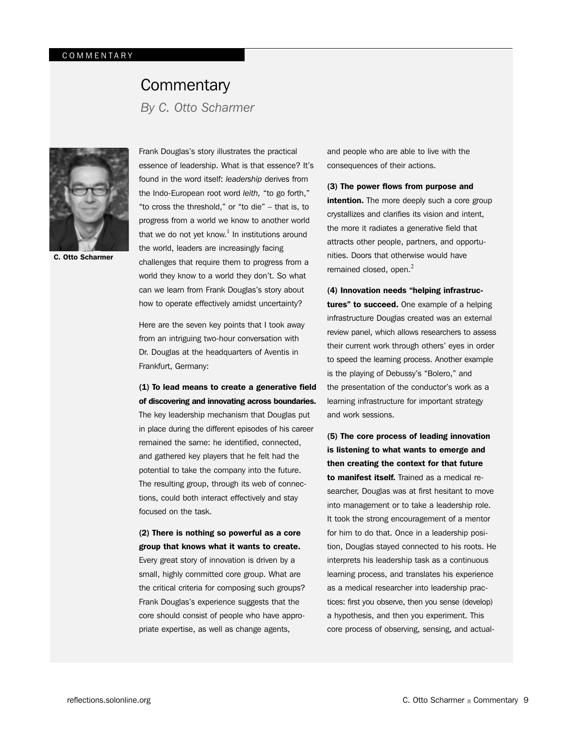# **Commentary**

*By C. Otto Scharmer*



C. Otto Scharmer

Frank Douglas's story illustrates the practical essence of leadership. What is that essence? It's found in the word itself: *leadership* derives from the Indo-European root word *leith,* "to go forth," "to cross the threshold," or "to die" – that is, to progress from a world we know to another world that we do not yet know.<sup>1</sup> In institutions around the world, leaders are increasingly facing challenges that require them to progress from a world they know to a world they don't. So what can we learn from Frank Douglas's story about how to operate effectively amidst uncertainty?

Here are the seven key points that I took away from an intriguing two-hour conversation with Dr. Douglas at the headquarters of Aventis in Frankfurt, Germany:

(1) To lead means to create a generative field of discovering and innovating across boundaries. The key leadership mechanism that Douglas put in place during the different episodes of his career remained the same: he identified, connected, and gathered key players that he felt had the potential to take the company into the future. The resulting group, through its web of connections, could both interact effectively and stay focused on the task.

(2) There is nothing so powerful as a core group that knows what it wants to create. Every great story of innovation is driven by a small, highly committed core group. What are the critical criteria for composing such groups? Frank Douglas's experience suggests that the core should consist of people who have appropriate expertise, as well as change agents,

and people who are able to live with the consequences of their actions.

(3) The power flows from purpose and intention. The more deeply such a core group crystallizes and clarifies its vision and intent, the more it radiates a generative field that attracts other people, partners, and opportunities. Doors that otherwise would have remained closed, open.<sup>2</sup>

(4) Innovation needs "helping infrastructures" to succeed. One example of a helping infrastructure Douglas created was an external review panel, which allows researchers to assess their current work through others' eyes in order to speed the learning process. Another example is the playing of Debussy's "Bolero," and the presentation of the conductor's work as a learning infrastructure for important strategy and work sessions.

(5) The core process of leading innovation is listening to what wants to emerge and then creating the context for that future to manifest itself. Trained as a medical researcher, Douglas was at first hesitant to move into management or to take a leadership role. It took the strong encouragement of a mentor for him to do that. Once in a leadership position, Douglas stayed connected to his roots. He interprets his leadership task as a continuous learning process, and translates his experience as a medical researcher into leadership practices: first you observe, then you sense (develop) a hypothesis, and then you experiment. This core process of observing, sensing, and actual-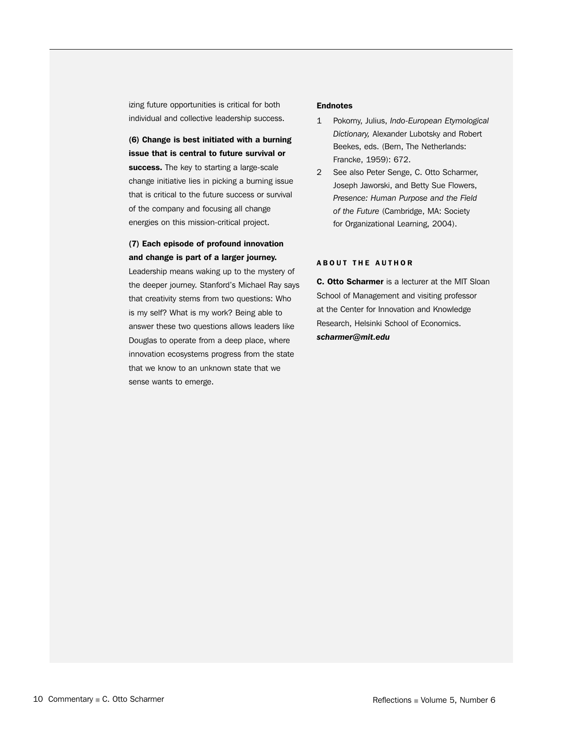izing future opportunities is critical for both individual and collective leadership success.

(6) Change is best initiated with a burning issue that is central to future survival or success. The key to starting a large-scale change initiative lies in picking a burning issue that is critical to the future success or survival of the company and focusing all change energies on this mission-critical project.

#### (7) Each episode of profound innovation and change is part of a larger journey.

Leadership means waking up to the mystery of the deeper journey. Stanford's Michael Ray says that creativity stems from two questions: Who is my self? What is my work? Being able to answer these two questions allows leaders like Douglas to operate from a deep place, where innovation ecosystems progress from the state that we know to an unknown state that we sense wants to emerge.

#### **Endnotes**

- 1 Pokorny, Julius, *Indo-European Etymological Dictionary,* Alexander Lubotsky and Robert Beekes, eds. (Bern, The Netherlands: Francke, 1959): 672.
- 2 See also Peter Senge, C. Otto Scharmer, Joseph Jaworski, and Betty Sue Flowers, *Presence: Human Purpose and the Field of the Future* (Cambridge, MA: Society for Organizational Learning, 2004).

#### ABOUT THE AUTHOR

C. Otto Scharmer is a lecturer at the MIT Sloan School of Management and visiting professor at the Center for Innovation and Knowledge Research, Helsinki School of Economics. *scharmer@mit.edu*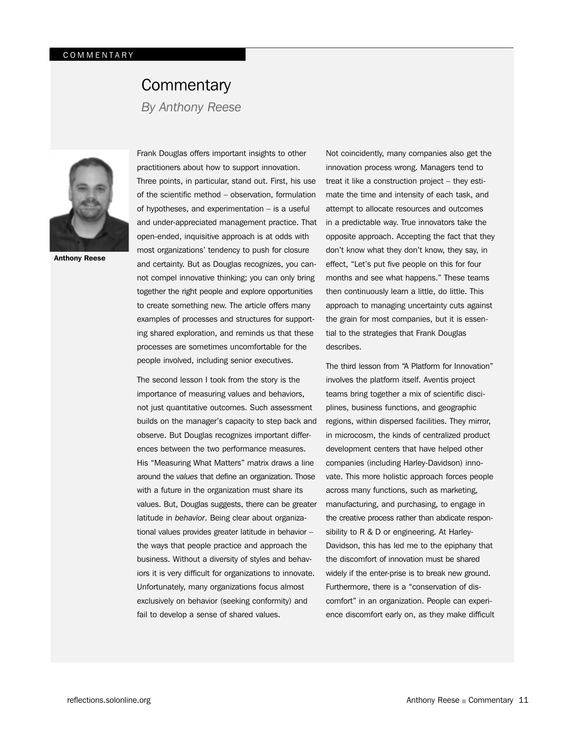# **Commentary**

*By Anthony Reese*



Anthony Reese

Frank Douglas offers important insights to other practitioners about how to support innovation. Three points, in particular, stand out. First, his use of the scientific method – observation, formulation of hypotheses, and experimentation – is a useful and under-appreciated management practice. That open-ended, inquisitive approach is at odds with most organizations' tendency to push for closure and certainty. But as Douglas recognizes, you cannot compel innovative thinking; you can only bring together the right people and explore opportunities to create something new. The article offers many examples of processes and structures for supporting shared exploration, and reminds us that these processes are sometimes uncomfortable for the people involved, including senior executives.

The second lesson I took from the story is the importance of measuring values and behaviors, not just quantitative outcomes. Such assessment builds on the manager's capacity to step back and observe. But Douglas recognizes important differences between the two performance measures. His "Measuring What Matters" matrix draws a line around the *values* that define an organization. Those with a future in the organization must share its values. But, Douglas suggests, there can be greater latitude in *behavior*. Being clear about organizational values provides greater latitude in behavior – the ways that people practice and approach the business. Without a diversity of styles and behaviors it is very difficult for organizations to innovate. Unfortunately, many organizations focus almost exclusively on behavior (seeking conformity) and fail to develop a sense of shared values.

Not coincidently, many companies also get the innovation process wrong. Managers tend to treat it like a construction project – they estimate the time and intensity of each task, and attempt to allocate resources and outcomes in a predictable way. True innovators take the opposite approach. Accepting the fact that they don't know what they don't know, they say, in effect, "Let's put five people on this for four months and see what happens." These teams then continuously learn a little, do little. This approach to managing uncertainty cuts against the grain for most companies, but it is essential to the strategies that Frank Douglas describes.

The third lesson from "A Platform for Innovation" involves the platform itself. Aventis project teams bring together a mix of scientific disciplines, business functions, and geographic regions, within dispersed facilities. They mirror, in microcosm, the kinds of centralized product development centers that have helped other companies (including Harley-Davidson) innovate. This more holistic approach forces people across many functions, such as marketing, manufacturing, and purchasing, to engage in the creative process rather than abdicate responsibility to R & D or engineering. At Harley-Davidson, this has led me to the epiphany that the discomfort of innovation must be shared widely if the enter-prise is to break new ground. Furthermore, there is a "conservation of discomfort" in an organization. People can experience discomfort early on, as they make difficult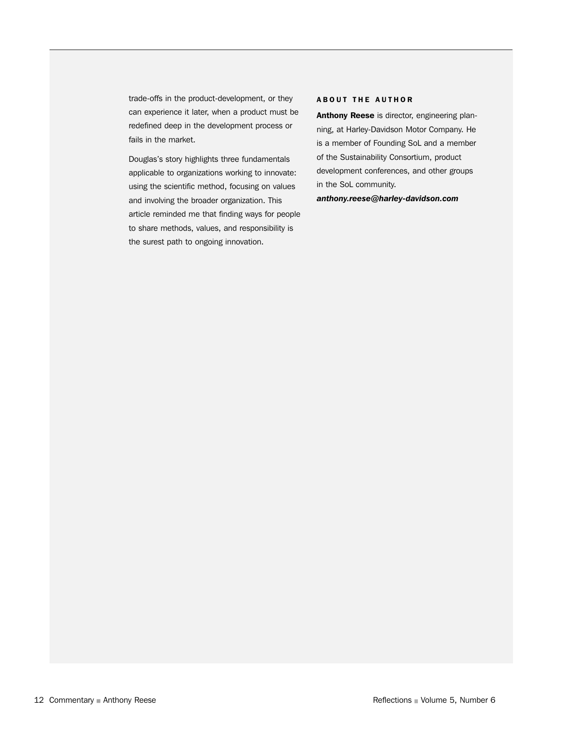trade-offs in the product-development, or they can experience it later, when a product must be redefined deep in the development process or fails in the market.

Douglas's story highlights three fundamentals applicable to organizations working to innovate: using the scientific method, focusing on values and involving the broader organization. This article reminded me that finding ways for people to share methods, values, and responsibility is the surest path to ongoing innovation.

#### ABOUT THE AUTHOR

Anthony Reese is director, engineering planning, at Harley-Davidson Motor Company. He is a member of Founding SoL and a member of the Sustainability Consortium, product development conferences, and other groups in the SoL community.

*anthony.reese@harley-davidson.com*